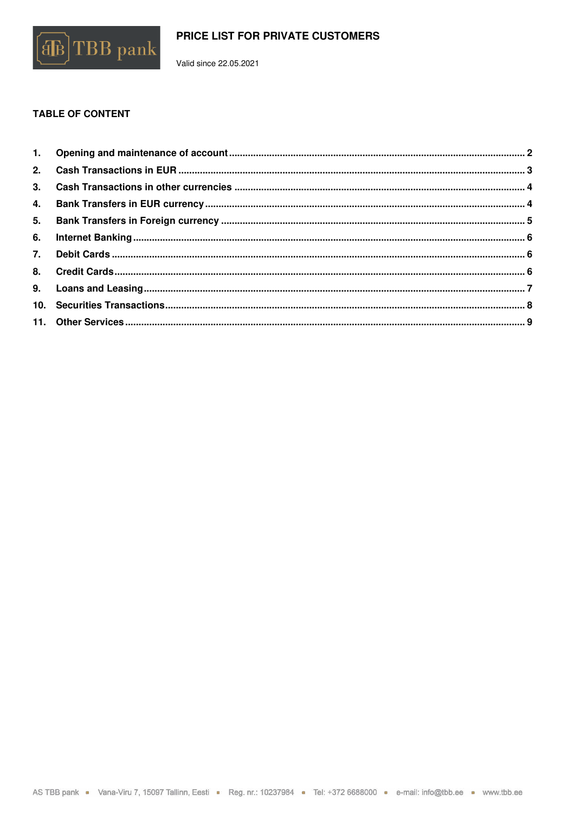

Valid since 22.05.2021

# **TABLE OF CONTENT**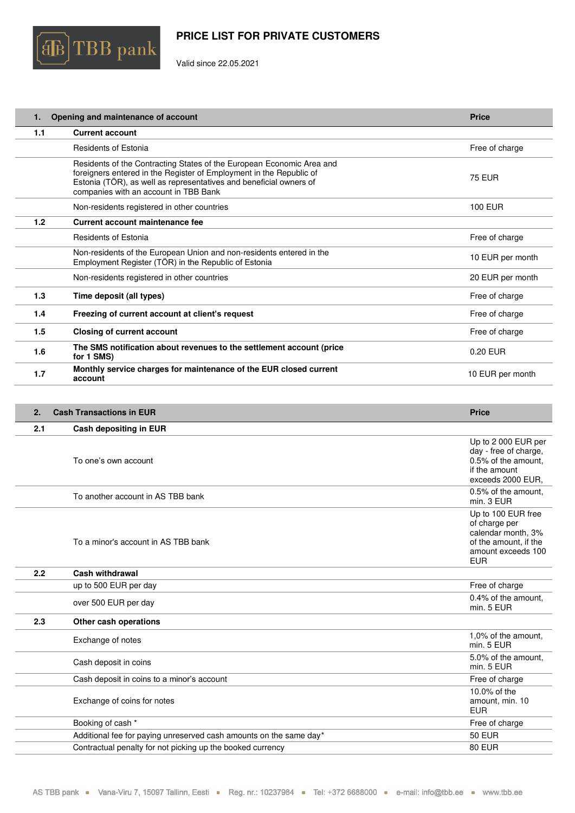

Valid since 22.05.2021

| 1.  | Opening and maintenance of account                                                                                                                                                                                                                          | <b>Price</b>     |
|-----|-------------------------------------------------------------------------------------------------------------------------------------------------------------------------------------------------------------------------------------------------------------|------------------|
| 1.1 | <b>Current account</b>                                                                                                                                                                                                                                      |                  |
|     | Residents of Estonia                                                                                                                                                                                                                                        | Free of charge   |
|     | Residents of the Contracting States of the European Economic Area and<br>foreigners entered in the Register of Employment in the Republic of<br>Estonia (TÖR), as well as representatives and beneficial owners of<br>companies with an account in TBB Bank | <b>75 EUR</b>    |
|     | Non-residents registered in other countries                                                                                                                                                                                                                 | <b>100 EUR</b>   |
| 1.2 | Current account maintenance fee                                                                                                                                                                                                                             |                  |
|     | Residents of Estonia                                                                                                                                                                                                                                        | Free of charge   |
|     | Non-residents of the European Union and non-residents entered in the<br>Employment Register (TÖR) in the Republic of Estonia                                                                                                                                | 10 EUR per month |
|     | Non-residents registered in other countries                                                                                                                                                                                                                 | 20 EUR per month |
| 1.3 | Time deposit (all types)                                                                                                                                                                                                                                    | Free of charge   |
| 1.4 | Freezing of current account at client's request                                                                                                                                                                                                             | Free of charge   |
| 1.5 | <b>Closing of current account</b>                                                                                                                                                                                                                           | Free of charge   |
| 1.6 | The SMS notification about revenues to the settlement account (price<br>for 1 SMS)                                                                                                                                                                          | 0.20 EUR         |
| 1.7 | Monthly service charges for maintenance of the EUR closed current<br>account                                                                                                                                                                                | 10 EUR per month |
|     |                                                                                                                                                                                                                                                             |                  |

| 2.  | <b>Cash Transactions in EUR</b>                                    | <b>Price</b>                                                                                                           |
|-----|--------------------------------------------------------------------|------------------------------------------------------------------------------------------------------------------------|
| 2.1 | Cash depositing in EUR                                             |                                                                                                                        |
|     | To one's own account                                               | Up to 2 000 EUR per<br>day - free of charge,<br>0.5% of the amount.<br>if the amount<br>exceeds 2000 EUR,              |
|     | To another account in AS TBB bank                                  | 0.5% of the amount.<br>min. 3 EUR                                                                                      |
|     | To a minor's account in AS TBB bank                                | Up to 100 EUR free<br>of charge per<br>calendar month, 3%<br>of the amount, if the<br>amount exceeds 100<br><b>EUR</b> |
| 2.2 | <b>Cash withdrawal</b>                                             |                                                                                                                        |
|     | up to 500 EUR per day                                              | Free of charge                                                                                                         |
|     | over 500 EUR per day                                               | 0.4% of the amount,<br>min. 5 EUR                                                                                      |
| 2.3 | Other cash operations                                              |                                                                                                                        |
|     | Exchange of notes                                                  | 1,0% of the amount,<br>min. 5 EUR                                                                                      |
|     | Cash deposit in coins                                              | 5.0% of the amount,<br>min. 5 EUR                                                                                      |
|     | Cash deposit in coins to a minor's account                         | Free of charge                                                                                                         |
|     | Exchange of coins for notes                                        | 10.0% of the<br>amount, min. 10<br><b>EUR</b>                                                                          |
|     | Booking of cash *                                                  | Free of charge                                                                                                         |
|     | Additional fee for paying unreserved cash amounts on the same day* | <b>50 EUR</b>                                                                                                          |
|     | Contractual penalty for not picking up the booked currency         | <b>80 EUR</b>                                                                                                          |
|     |                                                                    |                                                                                                                        |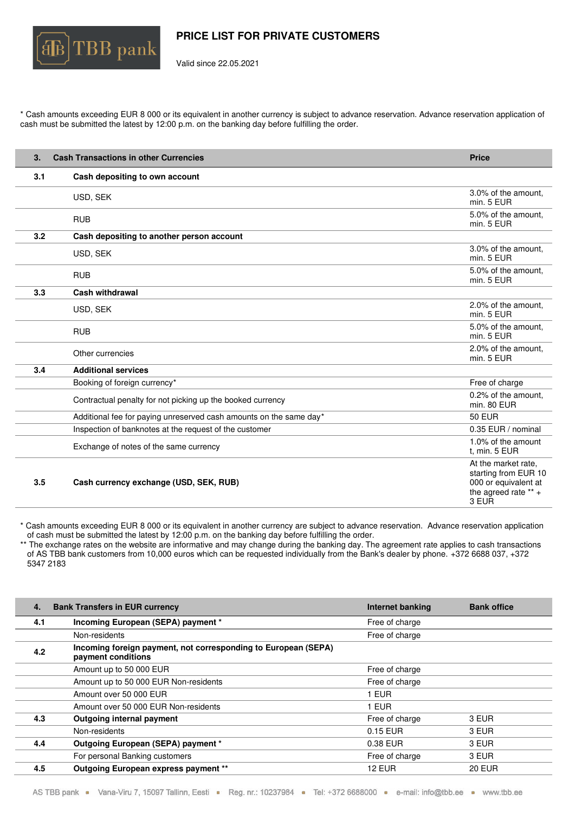

Valid since 22.05.2021

\* Cash amounts exceeding EUR 8 000 or its equivalent in another currency is subject to advance reservation. Advance reservation application of cash must be submitted the latest by 12:00 p.m. on the banking day before fulfilling the order.

| 3.  | <b>Cash Transactions in other Currencies</b>                       | <b>Price</b>                                                                                           |
|-----|--------------------------------------------------------------------|--------------------------------------------------------------------------------------------------------|
| 3.1 | Cash depositing to own account                                     |                                                                                                        |
|     | USD, SEK                                                           | 3.0% of the amount.<br>min. 5 EUR                                                                      |
|     | <b>RUB</b>                                                         | 5.0% of the amount,<br>min. 5 EUR                                                                      |
| 3.2 | Cash depositing to another person account                          |                                                                                                        |
|     | USD, SEK                                                           | 3.0% of the amount.<br>min. 5 EUR                                                                      |
|     | <b>RUB</b>                                                         | 5.0% of the amount,<br>min. 5 EUR                                                                      |
| 3.3 | <b>Cash withdrawal</b>                                             |                                                                                                        |
|     | USD, SEK                                                           | 2.0% of the amount,<br>min. 5 EUR                                                                      |
|     | <b>RUB</b>                                                         | 5.0% of the amount,<br>min. 5 EUR                                                                      |
|     | Other currencies                                                   | 2.0% of the amount.<br>min. 5 EUR                                                                      |
| 3.4 | <b>Additional services</b>                                         |                                                                                                        |
|     | Booking of foreign currency*                                       | Free of charge                                                                                         |
|     | Contractual penalty for not picking up the booked currency         | 0.2% of the amount,<br>min. 80 EUR                                                                     |
|     | Additional fee for paying unreserved cash amounts on the same day* | <b>50 EUR</b>                                                                                          |
|     | Inspection of banknotes at the request of the customer             | 0.35 EUR / nominal                                                                                     |
|     | Exchange of notes of the same currency                             | 1.0% of the amount<br>t, min. 5 EUR                                                                    |
| 3.5 | Cash currency exchange (USD, SEK, RUB)                             | At the market rate.<br>starting from EUR 10<br>000 or equivalent at<br>the agreed rate $** +$<br>3 EUR |

\* Cash amounts exceeding EUR 8 000 or its equivalent in another currency are subject to advance reservation. Advance reservation application of cash must be submitted the latest by 12:00 p.m. on the banking day before fulfilling the order.

\*\* The exchange rates on the website are informative and may change during the banking day. The agreement rate applies to cash transactions of AS TBB bank customers from 10,000 euros which can be requested individually from the Bank's dealer by phone. +372 6688 037, +372 5347 2183

| 4.  | <b>Bank Transfers in EUR currency</b>                                                | Internet banking | <b>Bank office</b> |
|-----|--------------------------------------------------------------------------------------|------------------|--------------------|
| 4.1 | Incoming European (SEPA) payment *                                                   | Free of charge   |                    |
|     | Non-residents                                                                        | Free of charge   |                    |
| 4.2 | Incoming foreign payment, not corresponding to European (SEPA)<br>payment conditions |                  |                    |
|     | Amount up to 50 000 EUR                                                              | Free of charge   |                    |
|     | Amount up to 50 000 EUR Non-residents                                                | Free of charge   |                    |
|     | Amount over 50 000 EUR                                                               | 1 EUR            |                    |
|     | Amount over 50 000 EUR Non-residents                                                 | I EUR            |                    |
| 4.3 | Outgoing internal payment                                                            | Free of charge   | 3 EUR              |
|     | Non-residents                                                                        | 0.15 EUR         | 3 EUR              |
| 4.4 | Outgoing European (SEPA) payment *                                                   | 0.38 EUR         | 3 EUR              |
|     | For personal Banking customers                                                       | Free of charge   | 3 EUR              |
| 4.5 | Outgoing European express payment **                                                 | <b>12 EUR</b>    | <b>20 EUR</b>      |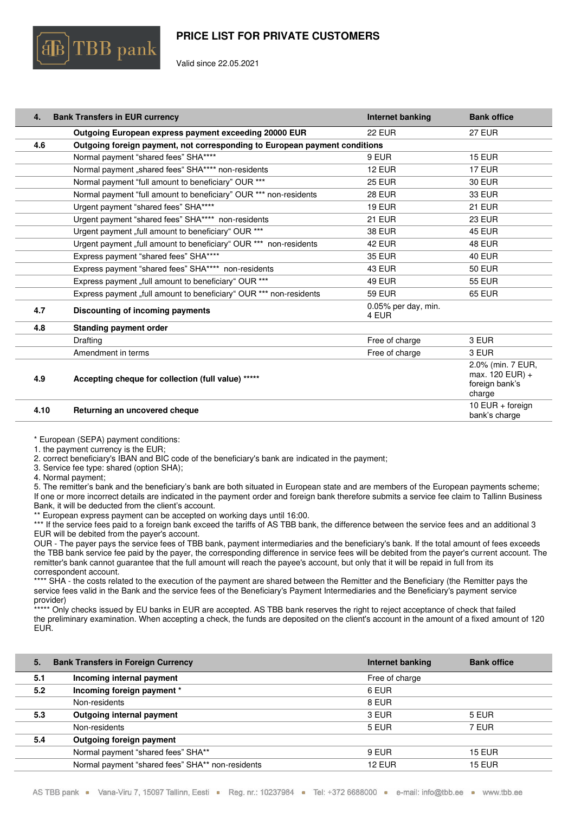

Valid since 22.05.2021

| 4.  | <b>Bank Transfers in EUR currency</b>                                      | Internet banking             | <b>Bank office</b> |
|-----|----------------------------------------------------------------------------|------------------------------|--------------------|
|     | Outgoing European express payment exceeding 20000 EUR                      | 22 EUR                       | <b>27 EUR</b>      |
| 4.6 | Outgoing foreign payment, not corresponding to European payment conditions |                              |                    |
|     | Normal payment "shared fees" SHA****                                       | 9 EUR                        | <b>15 EUR</b>      |
|     | Normal payment "shared fees" SHA**** non-residents                         | <b>12 EUR</b>                | <b>17 EUR</b>      |
|     | Normal payment "full amount to beneficiary" OUR ***                        | <b>25 EUR</b>                | <b>30 EUR</b>      |
|     | Normal payment "full amount to beneficiary" OUR *** non-residents          | <b>28 EUR</b>                | 33 EUR             |
|     | Urgent payment "shared fees" SHA****                                       | <b>19 EUR</b>                | <b>21 EUR</b>      |
|     | Urgent payment "shared fees" SHA**** non-residents                         | <b>21 EUR</b>                | <b>23 EUR</b>      |
|     | Urgent payment "full amount to beneficiary" OUR ***                        | <b>38 EUR</b>                | <b>45 EUR</b>      |
|     | Urgent payment "full amount to beneficiary" OUR *** non-residents          | <b>42 EUR</b>                | <b>48 EUR</b>      |
|     | Express payment "shared fees" SHA****                                      | <b>35 EUR</b>                | <b>40 EUR</b>      |
|     | Express payment "shared fees" SHA**** non-residents                        | <b>43 EUR</b>                | <b>50 EUR</b>      |
|     | Express payment "full amount to beneficiary" OUR ***                       | <b>49 EUR</b>                | <b>55 EUR</b>      |
|     | Express payment "full amount to beneficiary" OUR *** non-residents         | <b>59 EUR</b>                | <b>65 EUR</b>      |
| 4.7 | Discounting of incoming payments                                           | 0.05% per day, min.<br>4 EUR |                    |
| 4.8 | <b>Standing payment order</b>                                              |                              |                    |
|     | Drafting                                                                   | Free of charge               | 3 EUR              |
|     | Amendment in terms                                                         | Free of charge               | 3 EUR              |
|     |                                                                            |                              | 2.0% (min. 7 FUR.  |

| 4.9  | Accepting cheque for collection (full value) ***** | 2.0% (min. 7 EUR,<br>$max. 120$ EUR) +<br>foreign bank's<br>charge |
|------|----------------------------------------------------|--------------------------------------------------------------------|
| 4.10 | Returning an uncovered cheque                      | 10 EUR $+$ foreign<br>bank's charge                                |

\* European (SEPA) payment conditions:

1. the payment currency is the EUR;

2. correct beneficiary's IBAN and BIC code of the beneficiary's bank are indicated in the payment;

3. Service fee type: shared (option SHA);

4. Normal payment;

5. The remitter's bank and the beneficiary's bank are both situated in European state and are members of the European payments scheme; If one or more incorrect details are indicated in the payment order and foreign bank therefore submits a service fee claim to Tallinn Business Bank, it will be deducted from the client's account.

European express payment can be accepted on working days until 16:00.

\*\*\* If the service fees paid to a foreign bank exceed the tariffs of AS TBB bank, the difference between the service fees and an additional 3 EUR will be debited from the payer's account.

OUR - The payer pays the service fees of TBB bank, payment intermediaries and the beneficiary's bank. If the total amount of fees exceeds the TBB bank service fee paid by the payer, the corresponding difference in service fees will be debited from the payer's current account. The remitter's bank cannot guarantee that the full amount will reach the payee's account, but only that it will be repaid in full from its correspondent account.

\*\*\*\* SHA - the costs related to the execution of the payment are shared between the Remitter and the Beneficiary (the Remitter pays the service fees valid in the Bank and the service fees of the Beneficiary's Payment Intermediaries and the Beneficiary's payment service provider)

\*\*\*\*\* Only checks issued by EU banks in EUR are accepted. AS TBB bank reserves the right to reject acceptance of check that failed the preliminary examination. When accepting a check, the funds are deposited on the client's account in the amount of a fixed amount of 120 EUR.

| 5.  | <b>Bank Transfers in Foreign Currency</b>        | Internet banking | <b>Bank office</b> |
|-----|--------------------------------------------------|------------------|--------------------|
| 5.1 | Incoming internal payment                        | Free of charge   |                    |
| 5.2 | Incoming foreign payment *                       | 6 EUR            |                    |
|     | Non-residents                                    | 8 EUR            |                    |
| 5.3 | <b>Outgoing internal payment</b>                 | 3 EUR            | 5 EUR              |
|     | Non-residents                                    | 5 EUR            | 7 EUR              |
| 5.4 | Outgoing foreign payment                         |                  |                    |
|     | Normal payment "shared fees" SHA**               | 9 EUR            | <b>15 EUR</b>      |
|     | Normal payment "shared fees" SHA** non-residents | <b>12 EUR</b>    | <b>15 EUR</b>      |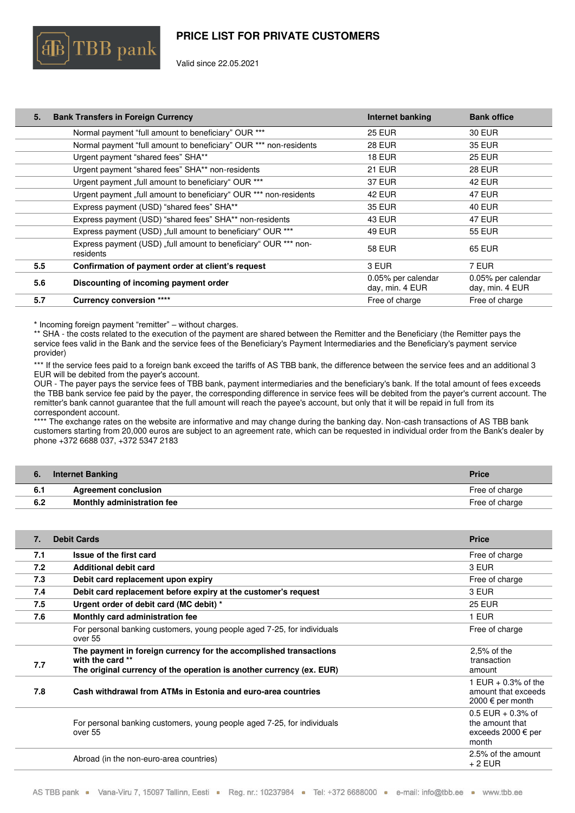

Valid since 22.05.2021

| 5.  | <b>Bank Transfers in Foreign Currency</b>                                    | <b>Internet banking</b>               | <b>Bank office</b>                    |
|-----|------------------------------------------------------------------------------|---------------------------------------|---------------------------------------|
|     | Normal payment "full amount to beneficiary" OUR ***                          | <b>25 EUR</b>                         | 30 EUR                                |
|     | Normal payment "full amount to beneficiary" OUR *** non-residents            | <b>28 EUR</b>                         | 35 EUR                                |
|     | Urgent payment "shared fees" SHA**                                           | <b>18 EUR</b>                         | <b>25 EUR</b>                         |
|     | Urgent payment "shared fees" SHA** non-residents                             | <b>21 EUR</b>                         | <b>28 EUR</b>                         |
|     | Urgent payment "full amount to beneficiary" OUR ***                          | <b>37 EUR</b>                         | <b>42 EUR</b>                         |
|     | Urgent payment "full amount to beneficiary" OUR *** non-residents            | 42 EUR                                | 47 EUR                                |
|     | Express payment (USD) "shared fees" SHA**                                    | <b>35 EUR</b>                         | <b>40 EUR</b>                         |
|     | Express payment (USD) "shared fees" SHA** non-residents                      | <b>43 EUR</b>                         | <b>47 EUR</b>                         |
|     | Express payment (USD) "full amount to beneficiary" OUR ***                   | 49 EUR                                | <b>55 EUR</b>                         |
|     | Express payment (USD) "full amount to beneficiary" OUR *** non-<br>residents | 58 EUR                                | 65 EUR                                |
| 5.5 | Confirmation of payment order at client's request                            | 3 EUR                                 | 7 EUR                                 |
| 5.6 | Discounting of incoming payment order                                        | 0.05% per calendar<br>day, min. 4 EUR | 0.05% per calendar<br>day, min. 4 EUR |
| 5.7 | <b>Currency conversion ****</b>                                              | Free of charge                        | Free of charge                        |
|     |                                                                              |                                       |                                       |

\* Incoming foreign payment "remitter" – without charges.

\*\* SHA - the costs related to the execution of the payment are shared between the Remitter and the Beneficiary (the Remitter pays the service fees valid in the Bank and the service fees of the Beneficiary's Payment Intermediaries and the Beneficiary's payment service provider)

\*\*\* If the service fees paid to a foreign bank exceed the tariffs of AS TBB bank, the difference between the service fees and an additional 3 EUR will be debited from the payer's account.

OUR - The payer pays the service fees of TBB bank, payment intermediaries and the beneficiary's bank. If the total amount of fees exceeds the TBB bank service fee paid by the payer, the corresponding difference in service fees will be debited from the payer's current account. The remitter's bank cannot guarantee that the full amount will reach the payee's account, but only that it will be repaid in full from its correspondent account.

\*\*\*\* The exchange rates on the website are informative and may change during the banking day. Non-cash transactions of AS TBB bank customers starting from 20,000 euros are subject to an agreement rate, which can be requested in individual order from the Bank's dealer by phone +372 6688 037, +372 5347 2183

| о.  | <b>Internet Banking</b>     | <b>Price</b>   |
|-----|-----------------------------|----------------|
| 6.1 | <b>Agreement conclusion</b> | Free of charge |
| 6.2 | Monthly administration fee  | Free of charge |

| $\overline{7}$ . | <b>Debit Cards</b>                                                                                                                                            | <b>Price</b>                                                          |
|------------------|---------------------------------------------------------------------------------------------------------------------------------------------------------------|-----------------------------------------------------------------------|
| 7.1              | Issue of the first card                                                                                                                                       | Free of charge                                                        |
| 7.2              | <b>Additional debit card</b>                                                                                                                                  | 3 EUR                                                                 |
| 7.3              | Debit card replacement upon expiry                                                                                                                            | Free of charge                                                        |
| 7.4              | Debit card replacement before expiry at the customer's request                                                                                                | 3 EUR                                                                 |
| 7.5              | Urgent order of debit card (MC debit) *                                                                                                                       | <b>25 EUR</b>                                                         |
| 7.6              | Monthly card administration fee                                                                                                                               | 1 EUR                                                                 |
|                  | For personal banking customers, young people aged 7-25, for individuals<br>over 55                                                                            | Free of charge                                                        |
| 7.7              | The payment in foreign currency for the accomplished transactions<br>with the card **<br>The original currency of the operation is another currency (ex. EUR) | $2.5%$ of the<br>transaction<br>amount                                |
| 7.8              | Cash withdrawal from ATMs in Estonia and euro-area countries                                                                                                  | 1 EUR $+$ 0.3% of the<br>amount that exceeds<br>2000 € per month      |
|                  | For personal banking customers, young people aged 7-25, for individuals<br>over 55                                                                            | $0.5$ EUR + 0.3% of<br>the amount that<br>exceeds 2000 € per<br>month |
|                  | Abroad (in the non-euro-area countries)                                                                                                                       | 2.5% of the amount<br>$+2$ EUR                                        |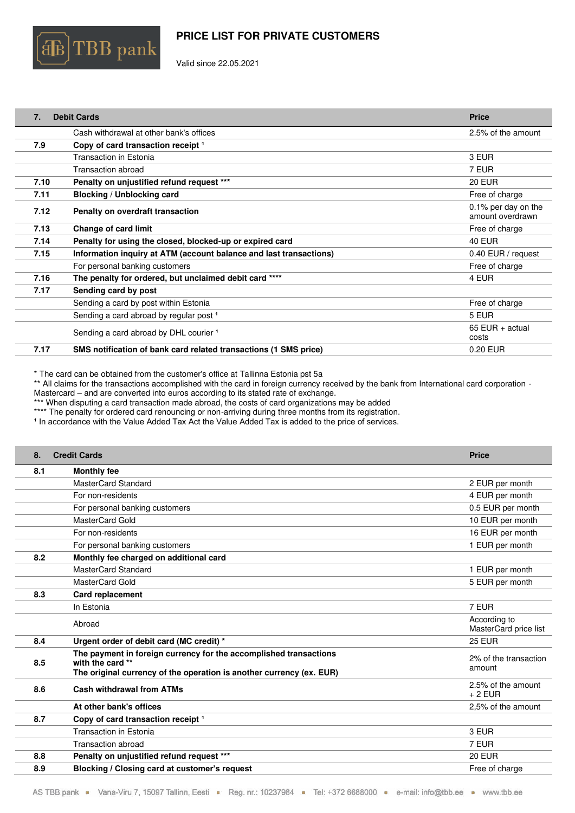

Valid since 22.05.2021

| $\overline{7}$ . | <b>Debit Cards</b>                                                 | <b>Price</b>                            |
|------------------|--------------------------------------------------------------------|-----------------------------------------|
|                  | Cash withdrawal at other bank's offices                            | 2.5% of the amount                      |
| 7.9              | Copy of card transaction receipt 1                                 |                                         |
|                  | <b>Transaction in Estonia</b>                                      | 3 EUR                                   |
|                  | Transaction abroad                                                 | 7 EUR                                   |
| 7.10             | Penalty on unjustified refund request ***                          | <b>20 EUR</b>                           |
| 7.11             | Blocking / Unblocking card                                         | Free of charge                          |
| 7.12             | Penalty on overdraft transaction                                   | 0.1% per day on the<br>amount overdrawn |
| 7.13             | <b>Change of card limit</b>                                        | Free of charge                          |
| 7.14             | Penalty for using the closed, blocked-up or expired card           | <b>40 EUR</b>                           |
| 7.15             | Information inquiry at ATM (account balance and last transactions) | 0.40 EUR / request                      |
|                  | For personal banking customers                                     | Free of charge                          |
| 7.16             | The penalty for ordered, but unclaimed debit card ****             | 4 EUR                                   |
| 7.17             | Sending card by post                                               |                                         |
|                  | Sending a card by post within Estonia                              | Free of charge                          |
|                  | Sending a card abroad by regular post <sup>1</sup>                 | 5 EUR                                   |
|                  | Sending a card abroad by DHL courier 1                             | 65 EUR $+$ actual<br>costs              |
| 7.17             | SMS notification of bank card related transactions (1 SMS price)   | 0.20 EUR                                |

\* The card can be obtained from the customer's office at Tallinna Estonia pst 5a

\*\* All claims for the transactions accomplished with the card in foreign currency received by the bank from International card corporation - Mastercard – and are converted into euros according to its stated rate of exchange.

\*\*\* When disputing a card transaction made abroad, the costs of card organizations may be added

\*\*\*\* The penalty for ordered card renouncing or non-arriving during three months from its registration.

<sup>1</sup> In accordance with the Value Added Tax Act the Value Added Tax is added to the price of services.

| 8.  | <b>Credit Cards</b>                                                                                                                                           | <b>Price</b>                          |
|-----|---------------------------------------------------------------------------------------------------------------------------------------------------------------|---------------------------------------|
| 8.1 | <b>Monthly fee</b>                                                                                                                                            |                                       |
|     | MasterCard Standard                                                                                                                                           | 2 EUR per month                       |
|     | For non-residents                                                                                                                                             | 4 EUR per month                       |
|     | For personal banking customers                                                                                                                                | 0.5 EUR per month                     |
|     | MasterCard Gold                                                                                                                                               | 10 EUR per month                      |
|     | For non-residents                                                                                                                                             | 16 EUR per month                      |
|     | For personal banking customers                                                                                                                                | 1 EUR per month                       |
| 8.2 | Monthly fee charged on additional card                                                                                                                        |                                       |
|     | MasterCard Standard                                                                                                                                           | 1 EUR per month                       |
|     | MasterCard Gold                                                                                                                                               | 5 EUR per month                       |
| 8.3 | <b>Card replacement</b>                                                                                                                                       |                                       |
|     | In Estonia                                                                                                                                                    | 7 EUR                                 |
|     | Abroad                                                                                                                                                        | According to<br>MasterCard price list |
| 8.4 | Urgent order of debit card (MC credit) *                                                                                                                      | <b>25 EUR</b>                         |
| 8.5 | The payment in foreign currency for the accomplished transactions<br>with the card **<br>The original currency of the operation is another currency (ex. EUR) | 2% of the transaction<br>amount       |
| 8.6 | <b>Cash withdrawal from ATMs</b>                                                                                                                              | 2.5% of the amount<br>$+2$ EUR        |
|     | At other bank's offices                                                                                                                                       | 2,5% of the amount                    |
| 8.7 | Copy of card transaction receipt <sup>1</sup>                                                                                                                 |                                       |
|     | <b>Transaction in Estonia</b>                                                                                                                                 | 3 EUR                                 |
|     | Transaction abroad                                                                                                                                            | 7 EUR                                 |
| 8.8 | Penalty on unjustified refund request ***                                                                                                                     | <b>20 EUR</b>                         |
| 8.9 | Blocking / Closing card at customer's request                                                                                                                 | Free of charge                        |
|     |                                                                                                                                                               |                                       |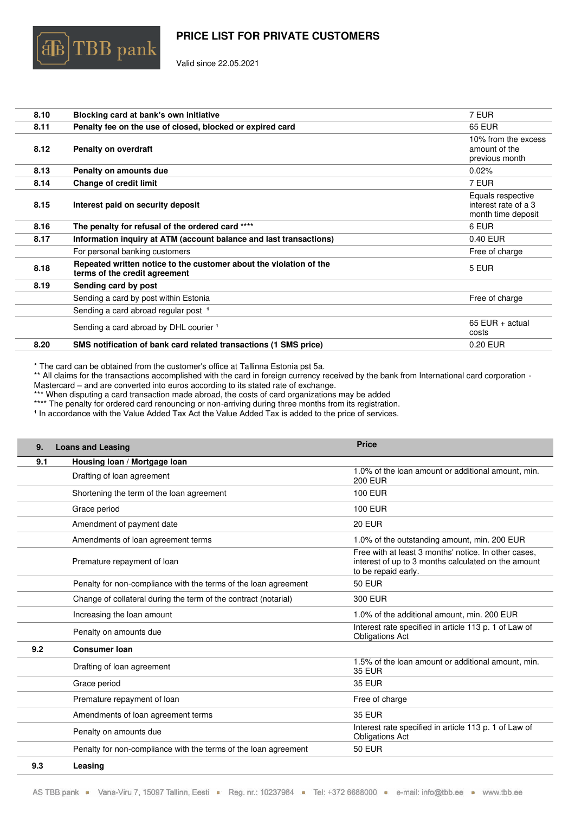

Valid since 22.05.2021

| 8.10 | Blocking card at bank's own initiative                                                              | 7 EUR                                                           |
|------|-----------------------------------------------------------------------------------------------------|-----------------------------------------------------------------|
| 8.11 | Penalty fee on the use of closed, blocked or expired card                                           | <b>65 EUR</b>                                                   |
| 8.12 | <b>Penalty on overdraft</b>                                                                         | 10% from the excess<br>amount of the<br>previous month          |
| 8.13 | Penalty on amounts due                                                                              | 0.02%                                                           |
| 8.14 | <b>Change of credit limit</b>                                                                       | 7 EUR                                                           |
| 8.15 | Interest paid on security deposit                                                                   | Equals respective<br>interest rate of a 3<br>month time deposit |
| 8.16 | The penalty for refusal of the ordered card ****                                                    | 6 EUR                                                           |
| 8.17 | Information inquiry at ATM (account balance and last transactions)                                  | 0.40 EUR                                                        |
|      | For personal banking customers                                                                      | Free of charge                                                  |
| 8.18 | Repeated written notice to the customer about the violation of the<br>terms of the credit agreement | 5 EUR                                                           |
| 8.19 | Sending card by post                                                                                |                                                                 |
|      | Sending a card by post within Estonia                                                               | Free of charge                                                  |
|      | Sending a card abroad regular post <sup>1</sup>                                                     |                                                                 |
|      | Sending a card abroad by DHL courier <sup>1</sup>                                                   | $65$ EUR + actual<br>costs                                      |
| 8.20 | SMS notification of bank card related transactions (1 SMS price)                                    | 0.20 EUR                                                        |

\* The card can be obtained from the customer's office at Tallinna Estonia pst 5a.

\*\* All claims for the transactions accomplished with the card in foreign currency received by the bank from International card corporation -Mastercard – and are converted into euros according to its stated rate of exchange.

\*\*\* When disputing a card transaction made abroad, the costs of card organizations may be added

\*\*\*\* The penalty for ordered card renouncing or non-arriving during three months from its registration.

In accordance with the Value Added Tax Act the Value Added Tax is added to the price of services.

| 9.  | <b>Loans and Leasing</b>                                        | <b>Price</b>                                                                                                                       |
|-----|-----------------------------------------------------------------|------------------------------------------------------------------------------------------------------------------------------------|
| 9.1 | Housing loan / Mortgage loan                                    |                                                                                                                                    |
|     | Drafting of loan agreement                                      | 1.0% of the loan amount or additional amount, min.<br><b>200 EUR</b>                                                               |
|     | Shortening the term of the loan agreement                       | <b>100 EUR</b>                                                                                                                     |
|     | Grace period                                                    | <b>100 EUR</b>                                                                                                                     |
|     | Amendment of payment date                                       | <b>20 EUR</b>                                                                                                                      |
|     | Amendments of loan agreement terms                              | 1.0% of the outstanding amount, min. 200 EUR                                                                                       |
|     | Premature repayment of loan                                     | Free with at least 3 months' notice. In other cases,<br>interest of up to 3 months calculated on the amount<br>to be repaid early. |
|     | Penalty for non-compliance with the terms of the loan agreement | <b>50 EUR</b>                                                                                                                      |
|     | Change of collateral during the term of the contract (notarial) | 300 EUR                                                                                                                            |
|     | Increasing the loan amount                                      | 1.0% of the additional amount, min. 200 EUR                                                                                        |
|     | Penalty on amounts due                                          | Interest rate specified in article 113 p. 1 of Law of<br><b>Obligations Act</b>                                                    |
| 9.2 | <b>Consumer loan</b>                                            |                                                                                                                                    |
|     | Drafting of loan agreement                                      | 1.5% of the loan amount or additional amount, min.<br><b>35 EUR</b>                                                                |
|     | Grace period                                                    | <b>35 EUR</b>                                                                                                                      |
|     | Premature repayment of loan                                     | Free of charge                                                                                                                     |
|     | Amendments of loan agreement terms                              | <b>35 EUR</b>                                                                                                                      |
|     | Penalty on amounts due                                          | Interest rate specified in article 113 p. 1 of Law of<br><b>Obligations Act</b>                                                    |
|     | Penalty for non-compliance with the terms of the loan agreement | <b>50 EUR</b>                                                                                                                      |
| 9.3 | Leasing                                                         |                                                                                                                                    |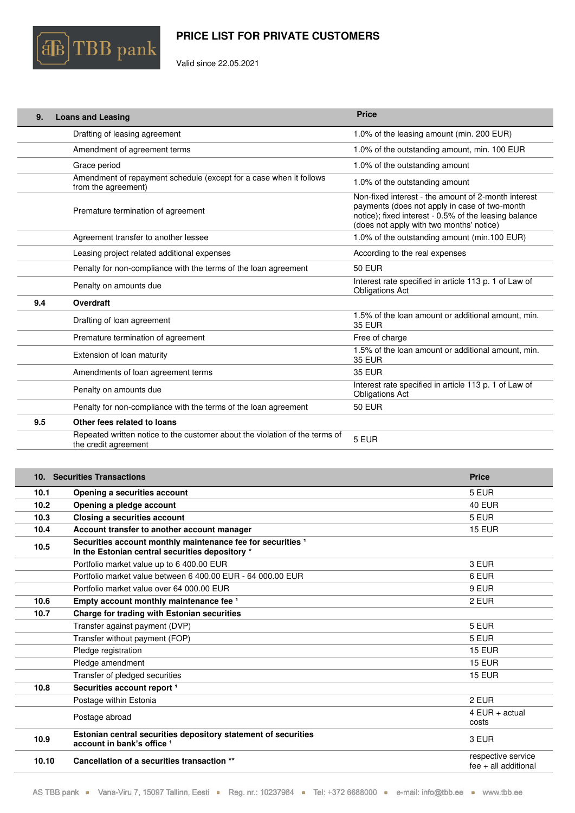

Valid since 22.05.2021

| 9.  | <b>Loans and Leasing</b>                                                                            | <b>Price</b>                                                                                                                                                                                              |
|-----|-----------------------------------------------------------------------------------------------------|-----------------------------------------------------------------------------------------------------------------------------------------------------------------------------------------------------------|
|     | Drafting of leasing agreement                                                                       | 1.0% of the leasing amount (min. 200 EUR)                                                                                                                                                                 |
|     | Amendment of agreement terms                                                                        | 1.0% of the outstanding amount, min. 100 EUR                                                                                                                                                              |
|     | Grace period                                                                                        | 1.0% of the outstanding amount                                                                                                                                                                            |
|     | Amendment of repayment schedule (except for a case when it follows<br>from the agreement)           | 1.0% of the outstanding amount                                                                                                                                                                            |
|     | Premature termination of agreement                                                                  | Non-fixed interest - the amount of 2-month interest<br>payments (does not apply in case of two-month<br>notice); fixed interest - 0.5% of the leasing balance<br>(does not apply with two months' notice) |
|     | Agreement transfer to another lessee                                                                | 1.0% of the outstanding amount (min.100 EUR)                                                                                                                                                              |
|     | Leasing project related additional expenses                                                         | According to the real expenses                                                                                                                                                                            |
|     | Penalty for non-compliance with the terms of the loan agreement                                     | <b>50 EUR</b>                                                                                                                                                                                             |
|     | Penalty on amounts due                                                                              | Interest rate specified in article 113 p. 1 of Law of<br><b>Obligations Act</b>                                                                                                                           |
| 9.4 | Overdraft                                                                                           |                                                                                                                                                                                                           |
|     | Drafting of loan agreement                                                                          | 1.5% of the loan amount or additional amount, min.<br><b>35 EUR</b>                                                                                                                                       |
|     | Premature termination of agreement                                                                  | Free of charge                                                                                                                                                                                            |
|     | Extension of loan maturity                                                                          | 1.5% of the loan amount or additional amount, min.<br><b>35 EUR</b>                                                                                                                                       |
|     | Amendments of loan agreement terms                                                                  | <b>35 EUR</b>                                                                                                                                                                                             |
|     | Penalty on amounts due                                                                              | Interest rate specified in article 113 p. 1 of Law of<br><b>Obligations Act</b>                                                                                                                           |
|     | Penalty for non-compliance with the terms of the loan agreement                                     | <b>50 EUR</b>                                                                                                                                                                                             |
| 9.5 | Other fees related to loans                                                                         |                                                                                                                                                                                                           |
|     | Repeated written notice to the customer about the violation of the terms of<br>the credit agreement | 5 EUR                                                                                                                                                                                                     |

|       | 10. Securities Transactions                                                                                    | <b>Price</b>                                 |
|-------|----------------------------------------------------------------------------------------------------------------|----------------------------------------------|
| 10.1  | Opening a securities account                                                                                   | 5 EUR                                        |
| 10.2  | Opening a pledge account                                                                                       | <b>40 EUR</b>                                |
| 10.3  | Closing a securities account                                                                                   | 5 EUR                                        |
| 10.4  | Account transfer to another account manager                                                                    | <b>15 EUR</b>                                |
| 10.5  | Securities account monthly maintenance fee for securities 1<br>In the Estonian central securities depository * |                                              |
|       | Portfolio market value up to 6 400.00 EUR                                                                      | 3 EUR                                        |
|       | Portfolio market value between 6 400.00 EUR - 64 000.00 EUR                                                    | 6 EUR                                        |
|       | Portfolio market value over 64 000.00 EUR                                                                      | 9 EUR                                        |
| 10.6  | Empty account monthly maintenance fee 1                                                                        | 2 EUR                                        |
| 10.7  | Charge for trading with Estonian securities                                                                    |                                              |
|       | Transfer against payment (DVP)                                                                                 | 5 EUR                                        |
|       | Transfer without payment (FOP)                                                                                 | 5 EUR                                        |
|       | Pledge registration                                                                                            | <b>15 EUR</b>                                |
|       | Pledge amendment                                                                                               | <b>15 EUR</b>                                |
|       | Transfer of pledged securities                                                                                 | <b>15 EUR</b>                                |
| 10.8  | Securities account report <sup>1</sup>                                                                         |                                              |
|       | Postage within Estonia                                                                                         | 2 EUR                                        |
|       | Postage abroad                                                                                                 | $4$ EUR + actual<br>costs                    |
| 10.9  | Estonian central securities depository statement of securities<br>account in bank's office 1                   | 3 EUR                                        |
| 10.10 | Cancellation of a securities transaction **                                                                    | respective service<br>$fee + all additional$ |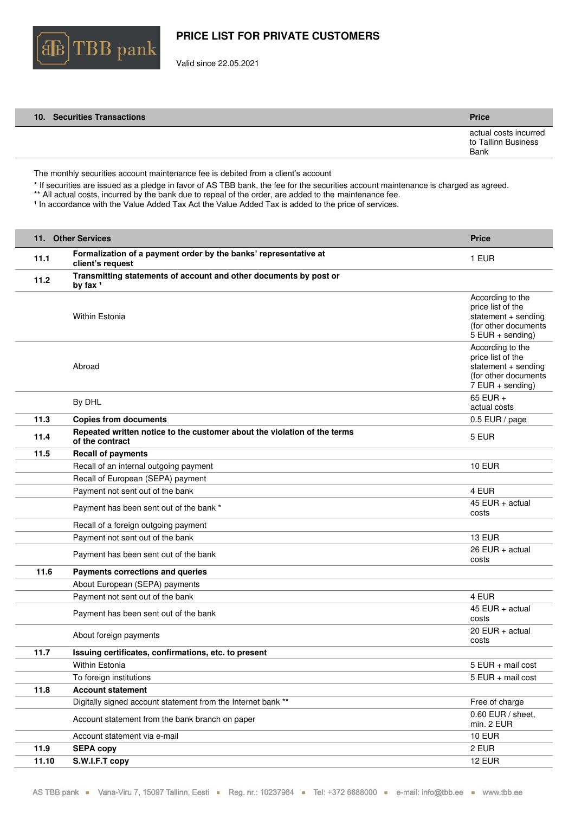

Valid since 22.05.2021

| 10. Securities Transactions | <b>Price</b>                                         |
|-----------------------------|------------------------------------------------------|
|                             | actual costs incurred<br>to Tallinn Business<br>Bank |

The monthly securities account maintenance fee is debited from a client's account

\* If securities are issued as a pledge in favor of AS TBB bank, the fee for the securities account maintenance is charged as agreed.

\*\* All actual costs, incurred by the bank due to repeal of the order, are added to the maintenance fee. In accordance with the Value Added Tax Act the Value Added Tax is added to the price of services.

|       | 11. Other Services                                                                          | <b>Price</b>                                                                                                |
|-------|---------------------------------------------------------------------------------------------|-------------------------------------------------------------------------------------------------------------|
| 11.1  | Formalization of a payment order by the banks' representative at<br>client's request        | 1 EUR                                                                                                       |
| 11.2  | Transmitting statements of account and other documents by post or<br>by fax $1$             |                                                                                                             |
|       | <b>Within Estonia</b>                                                                       | According to the<br>price list of the<br>statement + sending<br>(for other documents)<br>$5$ EUR + sending) |
|       | Abroad                                                                                      | According to the<br>price list of the<br>statement + sending<br>(for other documents)<br>$7$ EUR + sending) |
|       | By DHL                                                                                      | 65 EUR +<br>actual costs                                                                                    |
| 11.3  | <b>Copies from documents</b>                                                                | 0.5 EUR / page                                                                                              |
| 11.4  | Repeated written notice to the customer about the violation of the terms<br>of the contract | 5 EUR                                                                                                       |
| 11.5  | <b>Recall of payments</b>                                                                   |                                                                                                             |
|       | Recall of an internal outgoing payment                                                      | <b>10 EUR</b>                                                                                               |
|       | Recall of European (SEPA) payment                                                           |                                                                                                             |
|       | Payment not sent out of the bank                                                            | 4 EUR                                                                                                       |
|       | Payment has been sent out of the bank *                                                     | $45$ EUR + actual<br>costs                                                                                  |
|       | Recall of a foreign outgoing payment                                                        |                                                                                                             |
|       | Payment not sent out of the bank                                                            | <b>13 EUR</b>                                                                                               |
|       | Payment has been sent out of the bank                                                       | 26 EUR $+$ actual<br>costs                                                                                  |
| 11.6  | Payments corrections and queries                                                            |                                                                                                             |
|       | About European (SEPA) payments                                                              |                                                                                                             |
|       | Payment not sent out of the bank                                                            | 4 EUR                                                                                                       |
|       | Payment has been sent out of the bank                                                       | $45$ EUR + actual<br>costs                                                                                  |
|       | About foreign payments                                                                      | 20 EUR $+$ actual<br>costs                                                                                  |
| 11.7  | Issuing certificates, confirmations, etc. to present                                        |                                                                                                             |
|       | Within Estonia                                                                              | 5 EUR + mail cost                                                                                           |
|       | To foreign institutions                                                                     | 5 EUR + mail cost                                                                                           |
| 11.8  | <b>Account statement</b>                                                                    |                                                                                                             |
|       | Digitally signed account statement from the Internet bank **                                | Free of charge                                                                                              |
|       | Account statement from the bank branch on paper                                             | 0.60 EUR / sheet,<br>min. 2 EUR                                                                             |
|       | Account statement via e-mail                                                                | <b>10 EUR</b>                                                                                               |
| 11.9  | <b>SEPA copy</b>                                                                            | 2 EUR                                                                                                       |
| 11.10 | S.W.I.F.T copy                                                                              | <b>12 EUR</b>                                                                                               |